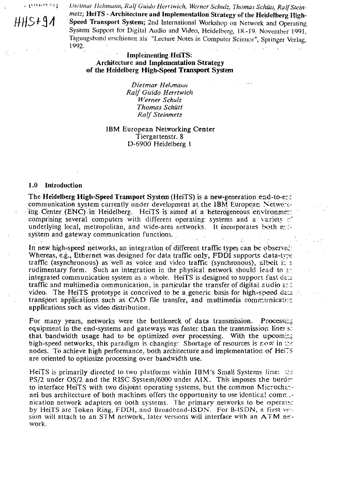$11111277711$ 

 $HHS+91$ 

Dietmar Hehmann, Ralf Guido Herrtwich, Werner Schulz, Thomas Schütt, Ralf Steinmetz: HeiTS - Architecture and Implementation Strategy of the Heidelberg High-Speed Transport System; 2nd International Workshop on Network and Operating System Support for Digital Audio and Video, Heidelberg, 18.-19. November 1991, Tagungsband erschienen als "Lecture Notes in Computer Science", Springer Verlag, 1992.

## **Implementing HeiTS: Architecture and Implementation Strategy** of the Heidelberg High-Speed Transport System

Dietmar Helmann Ralf Guido Herrtwich Werner Schulz Thomas Schütt **Ralf Steinmetz** 

IBM European Networking Center Tiergartenstr. 8 D-6900 Heidelberg 1

#### Introduction  $1.0<sub>1</sub>$

The Heidelberg High-Speed Transport System (HeiTS) is a new-generation end-to-end communication system currently under development at the IBM European Networking Center (ENC) in Heidelberg. HeiTS is aimed at a heterogeneous environment comprising several computers with different operating systems and a variety of underlying local, metropolitan, and wide-area networks. It incorporates both  $e_{\overline{z}}$ : system and gateway communication functions.

In new high-speed networks, an integration of different traffic types can be observed: Whereas, e.g., Ethernet was designed for data traffic only, FDDI supports data-type traffic (asynchronous) as well as voice and video traffic (synchronous), albeit is a rudimentary form. Such an integration in the physical network should lead to  $z$ . integrated communication system as a whole. HeiTS is designed to support fast  $dz_1$ traffic and multimedia communication, in particular the transfer of digital audio and video. The HeiTS prototype is conceived to be a generic basis for high-speed data transport applications such as CAD file transfer, and multimedia communication applications such as video distribution.

For many years, networks were the bottleneck of data transmission. Processing equipment in the end-systems and gateways was faster than the transmission lines so that bandwidth usage had to be optimized over processing. With the upcoming high-speed networks, this paradigm is changing: Shortage of resources is now in the nodes. To achieve high performance, both architecture and implementation of Heillers are oriented to optimize processing over bandwidth use.

HeiTS is primarily directed to two platforms within IBM's Small Systems line: the PS/2 under OS/2 and the RISC System/6000 under AIX. This imposes the burder to interface HeiTS with two disjoint operating systems, but the common Microchannel bus architecture of both machines offers the opportunity to use identical communication network adapters on both systems. The primary networks to be operated by HeiTS are Token Ring, FDDI, and Broadband-ISDN. For B-ISDN, a first version will attach to an STM network, later versions will interface with an ATM network.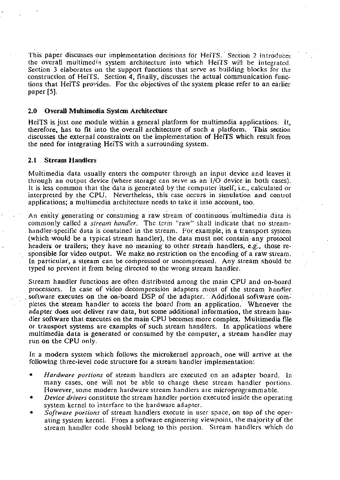This paper discusses our implementation decisions for HeiTS. Section 2 introduces the overall multimedia system architecture into which HeiTS will be integrated. Section **3** elaborates on the support functions that serve as building blocks for the construction of HeiTS. Section 4, finally, discusses the actual communication functions that HeiTS provides. For thc objectives of the system please refer to an earlier paper  $[5]$ .

#### 2.0 Overall Multimedia System Architectwe

HeiTS is just one module within a general platform for multimedia applications. It, therefore, has to fit into the overall architecture of such a platform. This section discusses the external constraints on the implernentation of HeiTS which result frorn the need for integrating HeiTS with a surrounding system.

#### 2.1 Stream Handlers

Multimedia data usually enters the computer through an input device and leaves it through an output device (where storagc can serve as an 110 device in both cases). 11 is less common that the data is generated by the Computer itself, i.e., calculated or interpreted by the **CPU.** Nevertheless, this case occurs in simulation and conrrol applications; a multimedia architecture needs to take it into account, too.

An entity generating or consuming a raw stream of continuous multimedia data is commonly called a *stream handler.* The term "raw" shall indicate that no streamhandler-specific data is contained in the stream. For example, in a transport system (which would be a typical stream handler), the data must not contain any protocol headers or trailers; they have no meaning to other stream handlers, e.g., those responsible for video output. We make no restriction on the encoding of a raw stream. In particular, a stream can be compressed or uncompressed. Any stream should be typed to prevent it from being directed to the wrong stream handler.

Strearn handler functions are often distributed arnong the main **CPU** and on-board processors. In case of video decompression adapters most of the stream handler, software executes on the on-board DSP of the adapter. Additional software completes the stream handler to access the board from an application. Whenever the adapter does not deliver raw data, but some additional information, the stream handler software that executes on the main **CPU** becomes more complex. Multimedia file or transport systems are examples of such stream handlers. In applications where multimedia data is generated or consumed by the computer, a stream handler may run on the **CPU** only.

In a modern system which follows the microkernel approach, one will arrive at the following three-level code structure for a stream handler implementation:

- *Hardware portions* of stream handlers are executed on an adapter board. In many cases. one will not be ablc to change thesc strcam handler portions. However, some modern hardware stream handlers are microprogrammable.
- *Device drivers* constitute the stream handler portion executed inside the operating system kernel to interface to the hardware adapter.
- *Software portions* of stream handlers execute in user space, on top of the operating system kernel. From a software engineering viewpoint, the majority of the stream handler code should belong to this portion. Stream handlers which do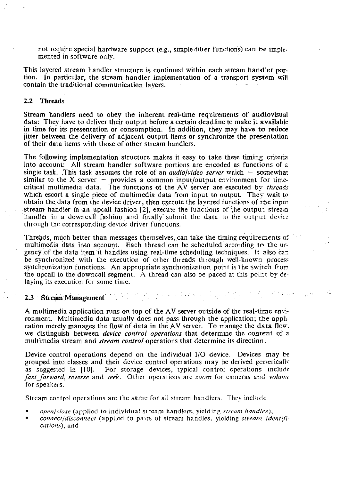not require special hardware support (e.g., simple filter functions) can be implemented in software only.

This layered stream handler structure is continued within each stream handler portion. In particular, the stream handler implementation of a transport system will contain the traditional communication layers.

#### 2.2 Threads

Stream handlers need to obey the inherent real-time requirements of auaiovisual data: They have to deliver their output before a certain deadline to make it available in time for its presentation or consumption. In addition, they may have to reduce jitter between the delivery of adjacent output items or synchronize the presentation of their data items with those of other stream handlers.

The following implementation structure makes it easy to take these timing criteria into account: All stream handler software portions are encoded as functions of *e*  single task. This task assumes the role of an *audio/video server* which  $-$  somewhat similar to the X server  $-$  provides a common input/output environment for timecritical multimedia data. The functions of the  $AV$  server are executed by *threads* which escort a single piece of multimedia data from input to output. They wait to obtain the data from the device driver, then execute the layered functions of tbe inpür stream handler in an upcall fashion  $[2]$ , execute the functions of the outpur strearr, handler in a downcall fashion and finally submit the data to the output device through the corresponding device driver functions.

Threads, much better than messages themselves, can take the timing requirements of multimedia data into account. Each thread can be scheduled according to the urgency of the data item it handles using real-time scheduling techniques. It also can be synchronized with the execution of other threads through well-known process synchronization functions. An appropriate synchronization point is the switch from the upcall to the downcall segment. A thread can also be paced at this point by delaying its execution for some time.<br>2.3 Stream Management

A multimedia application runs on top of the AV server outside of the real-time environment. Multimedia data usually does not pass through the application; the application merely manages the flow of data in the AV server. To manage the data flow. we distinguish between **device control operations** that determine the content of **2**  multimedia stream and **srrearn conrrol** operations that determine its direction-

Device control operations depend on the individual 1/O device. Devices may be grouped into classes and their device control operations may be derived generically<br>as suggested in [10]. For storage devices, typical control operations include For storage devices, typical control operations include **fast forward, reverse and seek.** Other opcrations are *zoom* for cameras and *volume* for speakers.

Stream control operations are the same for all stream handlers. They include

- *open/close* (applied to individual stream handlers, yielding *stream handles*),
- connect/disconnect (applied to pairs of stream handles, yielding stream *identifi***caiions),** and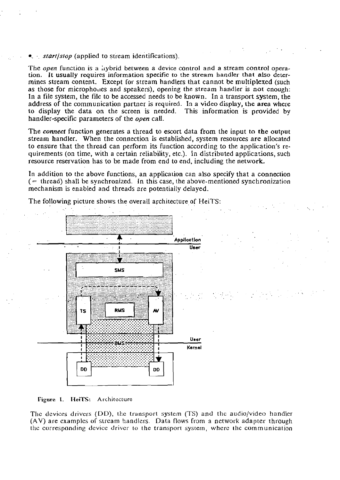start/stop (applied to stream identifications).

The open function is a hybrid between a device control and a stream control operation. It usually requires information specific to the stream handler that also determines stream content. Except for stream handlers that cannot be multiplexed (such as those for micropholies and speakers), opening the stream handler is not enough: In a file system, the file to be accessed needs to be known. In a transport system, the address of the communication partner is required. In a video display, the area where to display the data on the screen is needed. This information is provided by handler-specific parameters of the *open* call.

The connect function generates a thread to escort data from the input to the output stream handler. When the connection is established, system resources are allocated to ensure that the thread can perform its function according to the application's requirements (on time, with a certain reliability, etc.). In distributed applications, such resource reservation has to be made from end to end, including the network.

In addition to the above functions, an application can also specify that a connection  $($  = thread) shall be synchronized. In this case, the above-mentioned synchronization mechanism is enabled and threads are potentially delayed.

The following picture shows the overall architecture of HeiTS:



Figure I. HeiTS: Architecture

The devices drivers (DD), the transport system (TS) and the audio/video handler (AV) are examples of stream handlers. Data flows from a network adapter through the corresponding device driver to the transport system, where the communication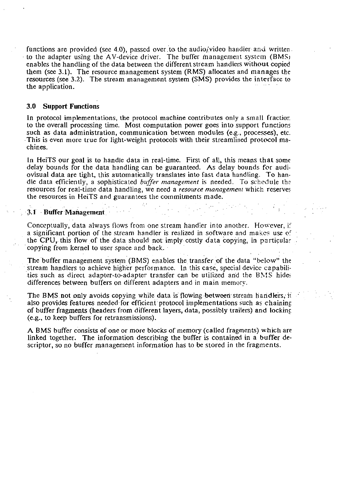functions are provided (see 4.0), passed over to the audio/video handler and written. to the adapter using the AV-device driver. The buffer management system (BMSi enables the handling of the data between the different stream handlers without copied them (see 3.1). The resource management system (RMS) allocates and manages the resources (see 3.2). The stream management system (SMS) provides the interface the application.

#### **3.0** Support Functions

In protocol implementations, the protocol machine contributes only a small fraction to the overall processing time. Most computation power goes into support functions such as data administration, communication between modules (e.g., processes), etc. This is even more true for light-weight protocols with their streamlined protocol machines.

In HeiTS our goal is to handle data in real-time. First of all, this means that some delay bounds for the data handling can be guaranteed. As delay bounds for audiovisual data are tight, this automatically translates into fast data handling. To handle data efficiently, a sophisticated **buffer management** is needed. To schedule the resources for real-time data handling, we need a *resource management* which reserves the resources in HeiTS and guarantees the commitments made.

 $\mathcal{L}_\mathbf{z}(\mathcal{E})$ 

# 3.1 Buffer Management

Conceptually, data always flows from one stream handler into another. However, if a significant portion of the stream handler is realized in software and makes use of the CPU, this flow of the data should not imply costly data copying, in particular copying from kernel to user space and back.

 $\sim 10^6$ 

The buffer management system (BMS) enables the transfer of the data "below" the stream handlers to achieve higher performance. In this case, special device czpabilitics such as direct adapter-to-adapter transfer can be utilized and the BMS hides differences between buffers on different adapters and in main memory.

The BMS not only avoids copying while data is flowing between stream handlers, it ... also provides features needed for efficient protocol implementations such as chaining of buffer fragments (headers from different layers, data, possibly trailers) and lockin: (e.g., to keep buffers for retransmissions).

A BMS buffer consists of one or more blocks of memory (called fragments) which are linked together. The information describing the buffer **is** contained in a buffer descriptor, so no buffer management information has to be stored in the fragments.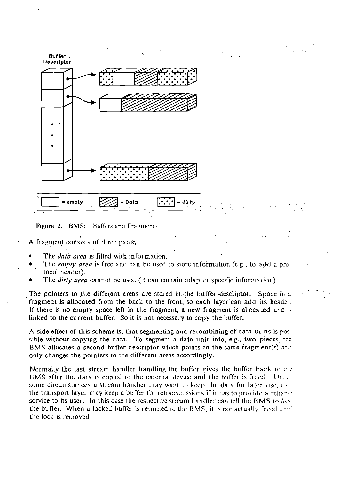

Figure 2. BMS: Buffers and Fragments

A fragment consists of three parts:

, .

- The *data area* is filled with information.
- The *empty area* is free and can be used to store information (e.g., to add a protocol header).

~.

The *dirty area* cannot be used (it can contain adapter specific information).

The pointers to the different areas are stared in the buffer descriptor. Space in a fragment is allocated from the back to the front, so each layer can add its header. If there **is** no ernpty space left- in the fragment, a new fragment **is** allocared ant *5*  linked to the current buffer. So it is not necessary to copy the bulfer.

A side effect of this scheme is, that segmenting and recombining of data units is possible without copying the data. To Segment a data unit into, e.g., two pieces, **15:**  BMS allocates a second buffer descriptor which points to the same fragment(s) and onIy changes the pointers to the different areas accordingly.

Normally the last stream handler handling the buffer gives the buffer back to  $\pm \epsilon$ BMS after the data is copied to the external device and the buffer is freed. Under some circumstances a stream handler may want to keep the data for later use, e.s.. ihe transport layer may keep **a** buffer for reiransmissions if it has to providc **z** reliatl;. service to its user. In this case the respective stream handler can tell the BMS to  $\log$ . the buffer. When a locked buffer is returned to the BMS, it is not actually freed until the lock is removed.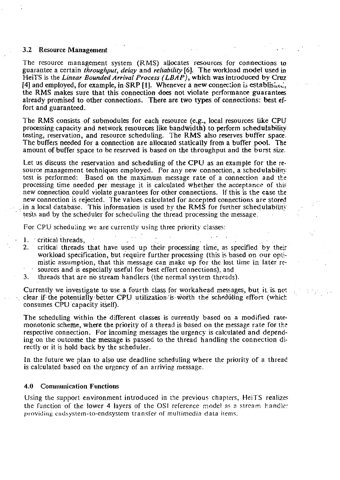#### **3.2** Resource Management

The resource management system (RMS) allocates resources for connections to guarantee a certain *throughput, delay* and *rellability* **[6].** The workload model used in HeiTS is the *Linear Bounded Arrival Process (LBAP)*, which was introduced by Cruz [4] and employed, for example, in **SRP** [I]. Whenever a new connection i; establislci. the **RMS** makes Sure that this connection does not violate performance guarantees already promised to other connections. There are two types of connections: best effort and guaranteed.

The **RMS** consists of submodules for each resource (e.p., local resources like CPU processing capacity and network resources like bandwidth) to perform schedulability testing, reservation, and resource scheduling. The **RMS** also reserves buffer space. The buffers needed for a connection are allocated statically from a buffer pool. The amount of buffer space to be reserved is based on the throughput and the burst size.

Let us discuss the reservation and scheduling of the CPU as an example for the resource management techniques employed. For any new connection, a schedulability test is performed: Based on the maximum message rate of a connection and the processing time needed per message it is calculated whether the acceptance of this new connection could violate guarantees for other connections. If this is the case the new connection is rejected. The values calculated for accepted connections are stored in a local database. This information is used by the RMS for further schedulability tests and by the scheduler for scheduling the thread processing the message.

. .

For CPU scheduling we are currently using three priority classes:

- 
- 1. critical threads,<br>2. critical threads that have used up their processing time, as specified by their workload specification, but require further processing (this is based on our opti-<br>mistic assumption, that this message can make up for the lost time in later resources and is especially useful for best effort connections), and
- 

3. **threads that are no stream handlers** (the normal system threads).

Currently we investigate to use a fourth class for workahead messages, but it is not clear if the potentially better CPU utilization is worth the scheduling effort (which consumes CPU capacity itself).

The scheduling within the different classes is currently bascd on a modified raremonotonic scheme, where the priority of a thread is based on the message rate for the respective connection. For incoming messages the urgency is calculated and depen6 ing on the outcome the message is passed to the thread handling the connection directly or it is hold back by the scheduler.

In the future we plan to also use deadline scheduling where the priority of a thread is calculated based on the urgency of an arriving message.

## **4.0 Communication Functions**

Using the support environment introduced in the previous chapters, HeiTS realizes the function of the lower 4 layers of the OSI reference model as a stream handler providing cadsystem-to-endsystem transfer of multimedia data items.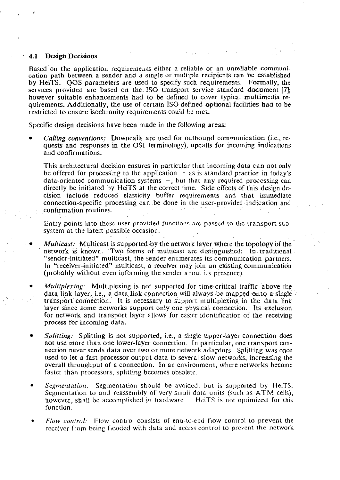#### 4.1 Design Decisions

Based on the application requirements either a reliable or an unreliable communication path between a sender and a single or multiple recipients can be established by HeiTS. QOS Parameters are used to specify such requirements. Formally, the services provided are based on the ISO transport service standard document [7]; however suitable enhancements had to be defined to cover typical multimedia requirements. Additionally, the use of certain ISO defined optional facilities had to be restricted to ensure isochronity requirements could be met.

Specific design decisions have been made in the following areas:

**Calling conventions:** Downcalls are used for outbound comrnunication (i.e., requests and responses in the OS1 terminology), upcalls for incoming indications and confirmations.

This architectural decision ensures in particular that incoming data can not only be offered for processing to the application  $-$  as is standard practice in today's data-oriented communication systems  $-$ , but that any required processing can directly be initiated by HeiTS at the correct time. Side effects of this design decision include reduced elasticity buffer requirements and that immediate connection-specific processing can be done in the user-provided indication and confirmation routines. directly be initiated by HeiTS at the correct time.<br>cision include reduced elasticity buffer require<br>connection-specific processing can be done in the<br>confirmation routines.

Entry points into these user provided functions are passed to the transport subsystem at the latest possible occasion.

- *Multicast:* Multicast is supported by the network layer where the topology of the network is known. Two forms of multicast are distinguished: In traditional "sender-initiated" multicast, the sender enumerates its communication Partners. In "receiver-initiated" multicast, a receiver may join an existing communicatiön (probably without even informing the sender about its presence).
- *Multiplexing:* Multiplexing is not supported for time-critical traffic above the data link layer, i.e., a data link connection will always be mapped onto a single transport connection. It is necessary to support multiplexing in the data link layer since some networks support only one physical connection. Its exclusion for network and transport layer allows for easier identification of the receiving process for incoming data.
- Splitting: Splitting is not supported, i.e., a single upper-layer connection does not use more than one lower-Iayer connection. In particular, one transport connection never scnds data over two or more network adaptors. Splitting was once used to let a fast processor output data to several slow networks, increasing the overall througbput of a connection. In an environment, where networks become faster than processors, splitting becomes obsolete.
- Segmentation: Segmentation should be avoided, but is supported by HeiTS. Segmentation to and reassembly of very small data units (such as  $ATM$  cells), however, shall be accomplished in hardware  $-$  HeiTS is not optimized for this function.
- Flow control: Flow control consists of end-to-end flow control to prevent the recciver from being flooded with data and access control to prevent the network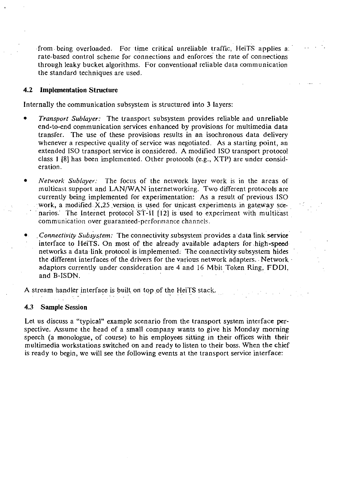-from-being overloaded. For time critical unreliable traffic, HeiTS applies a: rate-based control scheme for connections and enforces the rate of connections through leaky bucket algorithms. For conventional reliable data communication the standard techniques are used.

#### 4.2 Implementation Structure

Internally the communication subsystem is structured into **3** layers:

- *Transport Sublayer:* The transport subsystem provides reliable and unreliable end-to-end communication services enhanced by provisions for multimedia data transfer. The use of these provisions results in an isochronous data delivery whenever a respective quality of service was negotiated. As a starting point, an extended ISO transport service is considered. A modified ISO transport protocol class 1  $[8]$  has been implemented. Other protocols (e.g., XTP) are under consideration.
- *Network Sublayer:* The focus of the network layer work is in the areas of multicast support and LAN/WAN internetworking. Two different protocols are currently being implemented for experimentation: As a result of previous ISO work, a modified X.25 version is used for unicast experiments in gateway sce-<br>narios. The Internet protocol ST-II <sup>[12]</sup> is used to experiment with multicast communication over guaranteed-performance channels.
- *Connectivity Subsystem:* The connectivity subsystem provides a data link service interface to HeiTS. On most of the already available adapters for .high-speednetworks a data link protocol is implemented. The connectivity subsystem hides the different interfaces of the drivers for the various netmork adapters. - Network adaptors currently under consideration are 4 and 16 Mbit Token Ring. FDDI. and B-ISDN.

A stream handler interface is built on top of the HeiTS stack.

#### 4.3 Sample Session

Let us discuss a "typical" example scenario from the transport system interface perspective. Assume the head of a small company wants to give his Monday morning speech (a monologue, of course) to his employees sitting in their offices with their multimedia workstations switched on and ready to listen to their boss. When the chief is ready to begin, we will see the following events at the transport service interface: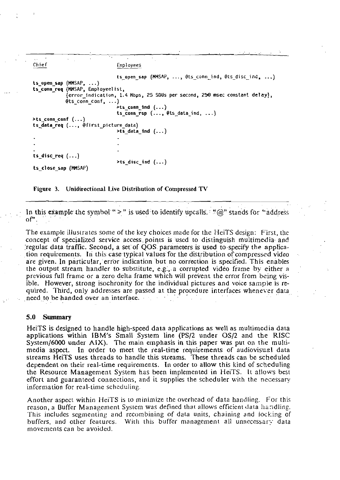```
Chief
                               Employees
                               ts open sap (MMSAP, ..., @ts conn ind, @ts disc ind, ...)
ts open sap (MMSAP, \ldots)
ts conn reg (MMSAP, Employeelist,
            {error_indication, 1.4 Mbps, 25 SDUs per second, 250 msec constant delay),
            @ts conn conf, ...)
                               \geqts conn ind (...)ts_conn_rsp (..., @ts_data_ind, ...)
>ts conn conf (...)ts_data_req (..., @first_picture_data)
                               \geqts data ind (\dots)ts disc req (\ldots)>ts disc ind (...)ts close sap (MMSAP)
```
Figure 3. Unidirectional Live Distribution of Compressed TV

In this example the symbol ">" is used to identify upcalls. " $@$ " stands for "address" of".

The example illustrates some of the key choices made for the HeiTS design: First, the concept of specialized service access points is used to distinguish multimedia and regular data traffic. Second, a set of QOS parameters is used to specify the application requirements. In this case typical values for the distribution of compressed video are given. In particular, error indication but no correction is specified. This enables the output stream handler to substitute, e.g., a corrupted video frame by either a previous full frame or a zero delta frame which will prevent the error from being visible. However, strong isochronity for the individual pictures and voice sample is required. Third, only addresses are passed at the procedure interfaces whenever data need to be handed over an interface.

#### 5.0 Summary

HeiTS is designed to handle high-speed data applications as well as multimedia data applications within IBM's Small System line (PS/2 under OS/2 and the RISC System/6000 under AIX). The main emphasis in this paper was put on the multimedia aspect. In order to meet the real-time requirements of audiovisual data streams HeiTS uses threads to handle this streams. These threads can be scheduled dependent on their real-time requirements. In order to allow this kind of scheduling the Resource Management System has been implemented in HeiTS. It allows best effort and guaranteed connections, and it supplies the scheduler with the necessary information for real-time scheduling.

Another aspect within HeiTS is to minimize the overhead of data handling. For this reason, a Buffer Management System was defined that allows efficient data handling. This includes segmenting and recombining of data units, chaining and locking of buffers, and other features. With this buffer management all unnecessary data movements can be avoided.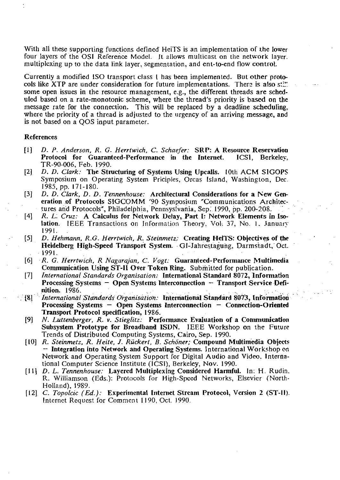With all these supporting functions defined HeiTS is an implementation of the lower four layers of the OSI Reference Model. It allows multicast on the network layer. multiplexing up to the data link layer, segmentation, and ent-to-end flow control.

Currently a modified ISO transport class 1 has been implemented. But other protocols like XTP are under consideration for future implementations. There is also st." some open issues in the resource management, e.g., the different threads are scheduled based on a rate-monotonic scheme, where the thread's priority is based on the message rate for the connection. This will be replaced by a deadline scheduling. where the priority of a thread is adjusted to the urgency of an arriving message, and is not based on a QOS input parameter.

#### **References**

- $[1]$ D. P. Anderson, R. G. Herrtwich, C. Schaefer: SRP: A Resource Reservation Protocol for Guaranteed-Performance in the Internet. ICSI, Berkelev. TR-90-006, Feb. 1990.
- $[2]$ D. D. Clark: The Structuring of Systems Using Upcalls. 10th ACM SIGOPS Symposium on Operating System Priciples, Orcas Island, Washington, Dec. 1985, pp. 171-180.
- $[3]$ D. D. Clark, D. D. Tennenhouse: Architectural Considerations for a New Generation of Protocols SIGCOMM '90 Symposium "Communications Architectures and Protocols", Philadelphia, Pennsyslvania, Sep. 1990, pp. 200-208.
- $[4]$ R. L. Cruz: A Calculus for Network Delay, Part I: Network Elements in Isolation. IEEE Transactions on Information Theory, Vol. 37, No. 1. January 1991.
- $\left[5\right]$ D. Hehmann, R.G. Herrtwich, R. Steinmetz: Creating HelTS: Objectives of the Heidelberg High-Speed Transport System. GI-Jahrestagung, Darmstadt, Oct. 1991.
- R. G. Herrtwich, R. Nagarajan, C. Vogt. Guaranteed-Performance Multimedia  $[6]$ Communication Using ST-II Over Token Ring. Submitted for publication.
- International Standards Organisation: International Standard 8072, Information  $[7]$ Processing Systems - Open Systems Interconnection - Transport Service Definition. 1986.
- International Standards Organisation: International Standard 8073, Information  $\cdot$  [8] Processing Systems - Open Systems Interconnection - Connection-Oriented Transport Protocol specification, 1986.
	- $[9]$ N. Luttenberger, R. v. Stieglitz: Performance Evaluation of a Communication Subsystem Prototype for Broadband ISDN. IEEE Workshop on the Future Trends of Distributed Computing Systems, Cairo, Sep. 1990.
	- [10] R. Steinmetz, R. Heite, J. Rückert, B. Schöner; Compound Multimedia Objects - Integration into Network and Operating Systems. International Workshop on Network and Operating System Support for Digital Audio and Video. International Computer Science Institute (ICSI), Berkeley, Nov. 1990.
	- [11] D. L. Tennenhouse: Layered Multiplexing Considered Harmful. In: H. Rudin. R. Williamson (Eds.): Protocols for High-Speed Networks, Elsevier (North-Holland), 1989.
	- [12] C. Topolcic (Ed.): Experimental Internet Stream Protocol, Version 2 (ST-II). Internet Request for Comment 1190, Oct. 1990.